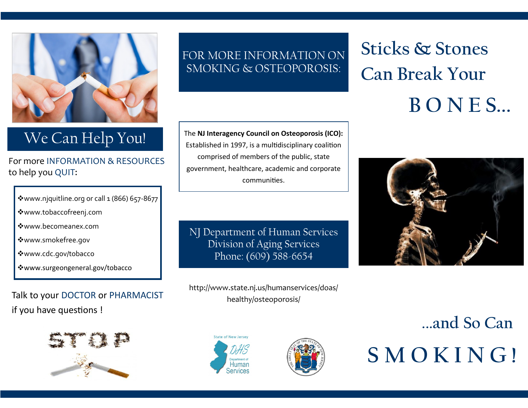

### We Can Help You!

For more INFORMATION & RESOURCES to help you QUIT:

| * www.njquitline.org or call 1 (866) 657-8677 |  |
|-----------------------------------------------|--|
|                                               |  |

- www.tobaccofreenj.com
- www.becomeanex.com
- www.smokefree.gov
- www.cdc.gov/tobacco
- www.surgeongeneral.gov/tobacco

Talk to your DOCTOR or PHARMACIST if you have questions !



FOR MORE INFORMATION ON SMOKING & OSTEOPOROSIS:

The **NJ Interagency Council on Osteoporosis (ICO):**  Established in 1997, is a multidisciplinary coalition comprised of members of the public, state government, healthcare, academic and corporate communities.

NJ Department of Human Services Division of Aging Services Phone: (609) 588-6654

http://www.state.nj.us/humanservices/doas/ healthy/osteoporosis/





# **Sticks & Stones Can Break Your B O N E S...**



**. ...and So Can S M O K I N G !**